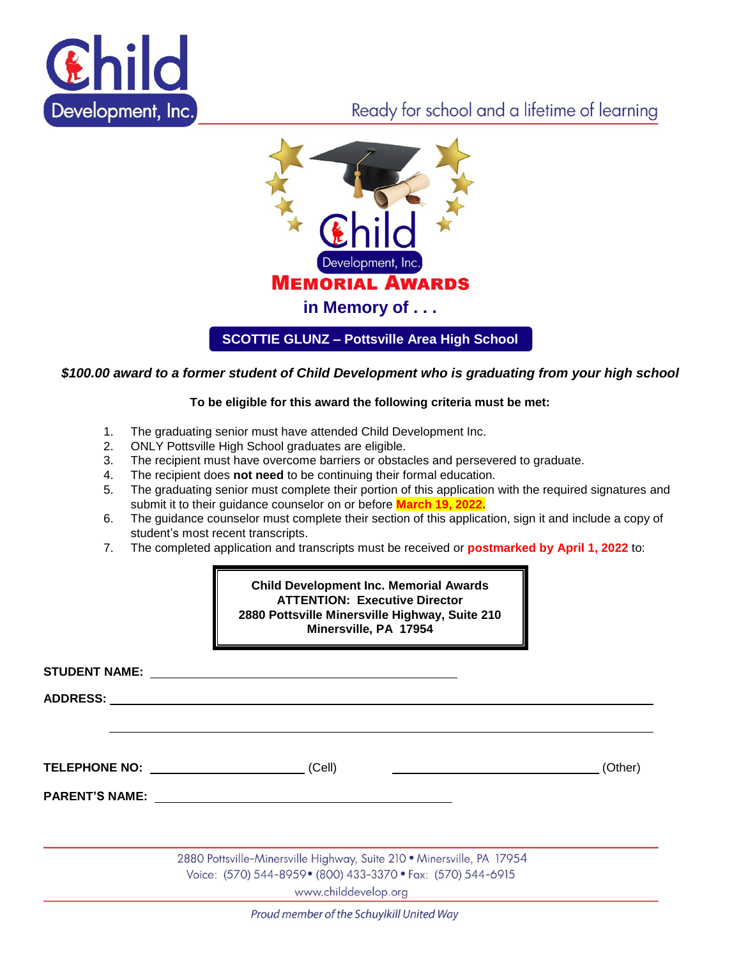

## Ready for school and a lifetime of learning



**SCOTTIE GLUNZ – Pottsville Area High School**

## *\$100.00 award to a former student of Child Development who is graduating from your high school*

## **To be eligible for this award the following criteria must be met:**

- 1. The graduating senior must have attended Child Development Inc.
- 2. ONLY Pottsville High School graduates are eligible.
- 3. The recipient must have overcome barriers or obstacles and persevered to graduate.
- 4. The recipient does **not need** to be continuing their formal education.
- 5. The graduating senior must complete their portion of this application with the required signatures and submit it to their guidance counselor on or before **March 19, 2022.**
- 6. The guidance counselor must complete their section of this application, sign it and include a copy of student's most recent transcripts.
- 7. The completed application and transcripts must be received or **postmarked by April 1, 2022** to:

| <b>Child Development Inc. Memorial Awards</b>  |  |
|------------------------------------------------|--|
| <b>ATTENTION: Executive Director</b>           |  |
| 2880 Pottsville Minersville Highway, Suite 210 |  |
| Minersville, PA 17954                          |  |

|                       | STUDENT NAME: And the contract of the contract of the contract of the contract of the contract of the contract of the contract of the contract of the contract of the contract of the contract of the contract of the contract |         |
|-----------------------|--------------------------------------------------------------------------------------------------------------------------------------------------------------------------------------------------------------------------------|---------|
| ADDRESS: ADDRESS:     |                                                                                                                                                                                                                                |         |
|                       |                                                                                                                                                                                                                                |         |
|                       | TELEPHONE NO: <u>______________________</u><br>(Cell)                                                                                                                                                                          | (Other) |
| <b>PARENT'S NAME:</b> |                                                                                                                                                                                                                                |         |
|                       |                                                                                                                                                                                                                                |         |
|                       | 2880 Pottsville-Minersville Highway, Suite 210 · Minersville, PA 17954                                                                                                                                                         |         |
|                       | Voice: (570) 544-8959 • (800) 433-3370 • Fax: (570) 544-6915<br>www.childdevelop.org                                                                                                                                           |         |